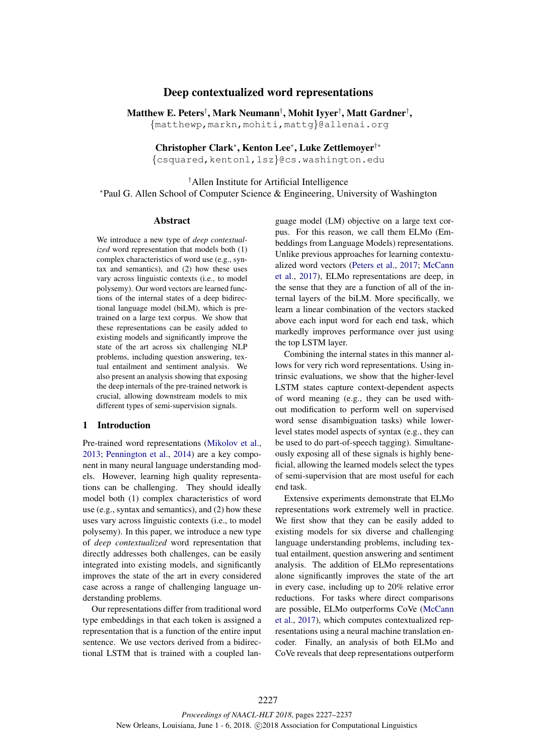# Deep contextualized word representations

Matthew E. Peters† , Mark Neumann† , Mohit Iyyer† , Matt Gardner† , {matthewp,markn,mohiti,mattg}@allenai.org

Christopher Clark<sup>\*</sup>, Kenton Lee<sup>\*</sup>, Luke Zettlemoyer<sup>†\*</sup>

{csquared,kentonl,lsz}@cs.washington.edu

† Allen Institute for Artificial Intelligence ⇤Paul G. Allen School of Computer Science & Engineering, University of Washington

### Abstract

We introduce a new type of *deep contextualized* word representation that models both (1) complex characteristics of word use (e.g., syntax and semantics), and (2) how these uses vary across linguistic contexts (i.e., to model polysemy). Our word vectors are learned functions of the internal states of a deep bidirectional language model (biLM), which is pretrained on a large text corpus. We show that these representations can be easily added to existing models and significantly improve the state of the art across six challenging NLP problems, including question answering, textual entailment and sentiment analysis. We also present an analysis showing that exposing the deep internals of the pre-trained network is crucial, allowing downstream models to mix different types of semi-supervision signals.

### 1 Introduction

Pre-trained word representations (Mikolov et al., 2013; Pennington et al., 2014) are a key component in many neural language understanding models. However, learning high quality representations can be challenging. They should ideally model both (1) complex characteristics of word use (e.g., syntax and semantics), and (2) how these uses vary across linguistic contexts (i.e., to model polysemy). In this paper, we introduce a new type of *deep contextualized* word representation that directly addresses both challenges, can be easily integrated into existing models, and significantly improves the state of the art in every considered case across a range of challenging language understanding problems.

Our representations differ from traditional word type embeddings in that each token is assigned a representation that is a function of the entire input sentence. We use vectors derived from a bidirectional LSTM that is trained with a coupled lan-

guage model (LM) objective on a large text corpus. For this reason, we call them ELMo (Embeddings from Language Models) representations. Unlike previous approaches for learning contextualized word vectors (Peters et al., 2017; McCann et al., 2017), ELMo representations are deep, in the sense that they are a function of all of the internal layers of the biLM. More specifically, we learn a linear combination of the vectors stacked above each input word for each end task, which markedly improves performance over just using the top LSTM layer.

Combining the internal states in this manner allows for very rich word representations. Using intrinsic evaluations, we show that the higher-level LSTM states capture context-dependent aspects of word meaning (e.g., they can be used without modification to perform well on supervised word sense disambiguation tasks) while lowerlevel states model aspects of syntax (e.g., they can be used to do part-of-speech tagging). Simultaneously exposing all of these signals is highly beneficial, allowing the learned models select the types of semi-supervision that are most useful for each end task.

Extensive experiments demonstrate that ELMo representations work extremely well in practice. We first show that they can be easily added to existing models for six diverse and challenging language understanding problems, including textual entailment, question answering and sentiment analysis. The addition of ELMo representations alone significantly improves the state of the art in every case, including up to 20% relative error reductions. For tasks where direct comparisons are possible, ELMo outperforms CoVe (McCann et al., 2017), which computes contextualized representations using a neural machine translation encoder. Finally, an analysis of both ELMo and CoVe reveals that deep representations outperform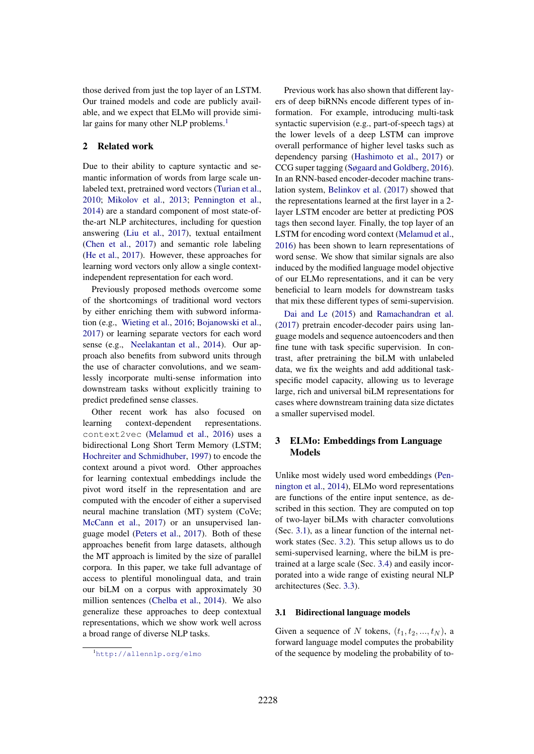those derived from just the top layer of an LSTM. Our trained models and code are publicly available, and we expect that ELMo will provide similar gains for many other NLP problems.<sup>1</sup>

## 2 Related work

Due to their ability to capture syntactic and semantic information of words from large scale unlabeled text, pretrained word vectors (Turian et al., 2010; Mikolov et al., 2013; Pennington et al., 2014) are a standard component of most state-ofthe-art NLP architectures, including for question answering (Liu et al., 2017), textual entailment (Chen et al., 2017) and semantic role labeling (He et al., 2017). However, these approaches for learning word vectors only allow a single contextindependent representation for each word.

Previously proposed methods overcome some of the shortcomings of traditional word vectors by either enriching them with subword information (e.g., Wieting et al., 2016; Bojanowski et al., 2017) or learning separate vectors for each word sense (e.g., Neelakantan et al., 2014). Our approach also benefits from subword units through the use of character convolutions, and we seamlessly incorporate multi-sense information into downstream tasks without explicitly training to predict predefined sense classes.

Other recent work has also focused on learning context-dependent representations. context2vec (Melamud et al., 2016) uses a bidirectional Long Short Term Memory (LSTM; Hochreiter and Schmidhuber, 1997) to encode the context around a pivot word. Other approaches for learning contextual embeddings include the pivot word itself in the representation and are computed with the encoder of either a supervised neural machine translation (MT) system (CoVe; McCann et al., 2017) or an unsupervised language model (Peters et al., 2017). Both of these approaches benefit from large datasets, although the MT approach is limited by the size of parallel corpora. In this paper, we take full advantage of access to plentiful monolingual data, and train our biLM on a corpus with approximately 30 million sentences (Chelba et al., 2014). We also generalize these approaches to deep contextual representations, which we show work well across a broad range of diverse NLP tasks.

Previous work has also shown that different layers of deep biRNNs encode different types of information. For example, introducing multi-task syntactic supervision (e.g., part-of-speech tags) at the lower levels of a deep LSTM can improve overall performance of higher level tasks such as dependency parsing (Hashimoto et al., 2017) or CCG super tagging (Søgaard and Goldberg, 2016). In an RNN-based encoder-decoder machine translation system, Belinkov et al. (2017) showed that the representations learned at the first layer in a 2 layer LSTM encoder are better at predicting POS tags then second layer. Finally, the top layer of an LSTM for encoding word context (Melamud et al., 2016) has been shown to learn representations of word sense. We show that similar signals are also induced by the modified language model objective of our ELMo representations, and it can be very beneficial to learn models for downstream tasks that mix these different types of semi-supervision.

Dai and Le (2015) and Ramachandran et al. (2017) pretrain encoder-decoder pairs using language models and sequence autoencoders and then fine tune with task specific supervision. In contrast, after pretraining the biLM with unlabeled data, we fix the weights and add additional taskspecific model capacity, allowing us to leverage large, rich and universal biLM representations for cases where downstream training data size dictates a smaller supervised model.

## 3 ELMo: Embeddings from Language Models

Unlike most widely used word embeddings (Pennington et al., 2014), ELMo word representations are functions of the entire input sentence, as described in this section. They are computed on top of two-layer biLMs with character convolutions (Sec. 3.1), as a linear function of the internal network states (Sec. 3.2). This setup allows us to do semi-supervised learning, where the biLM is pretrained at a large scale (Sec. 3.4) and easily incorporated into a wide range of existing neural NLP architectures (Sec. 3.3).

#### 3.1 Bidirectional language models

Given a sequence of N tokens,  $(t_1, t_2, ..., t_N)$ , a forward language model computes the probability of the sequence by modeling the probability of to-

<sup>1</sup> http://allennlp.org/elmo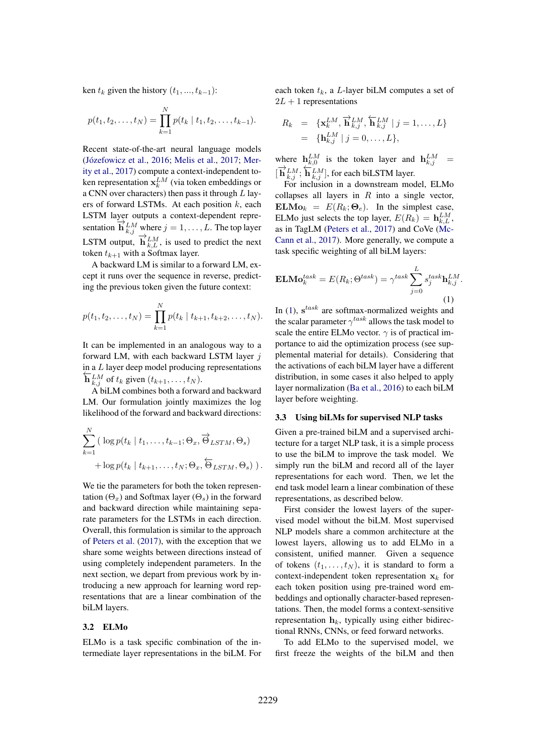ken  $t_k$  given the history  $(t_1, ..., t_{k-1})$ :

$$
p(t_1, t_2, \ldots, t_N) = \prod_{k=1}^N p(t_k \mid t_1, t_2, \ldots, t_{k-1}).
$$

Recent state-of-the-art neural language models (Józefowicz et al., 2016; Melis et al., 2017; Merity et al., 2017) compute a context-independent token representation  $\mathbf{x}_k^{LM}$  (via token embeddings or a CNN over characters) then pass it through  $L$  layers of forward LSTMs. At each position  $k$ , each LSTM layer outputs a context-dependent representation  $\overrightarrow{\mathbf{h}}_{k,j}^{LM}$  where  $j = 1, \ldots, L$ . The top layer LSTM output,  $\overrightarrow{\mathbf{h}}_{k,L}^{LM}$ , is used to predict the next token  $t_{k+1}$  with a Softmax layer.

A backward LM is similar to a forward LM, except it runs over the sequence in reverse, predicting the previous token given the future context:

$$
p(t_1, t_2, \ldots, t_N) = \prod_{k=1}^N p(t_k \mid t_{k+1}, t_{k+2}, \ldots, t_N).
$$

It can be implemented in an analogous way to a forward LM, with each backward LSTM layer  $j$ in a  $L$  layer deep model producing representations  $\mathbf{h}_{k,j}^{LM}$  of  $t_k$  given  $(t_{k+1},...,t_N)$ .

A biLM combines both a forward and backward LM. Our formulation jointly maximizes the log likelihood of the forward and backward directions:

$$
\sum_{k=1}^{N} (\log p(t_k \mid t_1, \dots, t_{k-1}; \Theta_x, \overrightarrow{\Theta}_{LSTM}, \Theta_s) + \log p(t_k \mid t_{k+1}, \dots, t_N; \Theta_x, \overleftarrow{\Theta}_{LSTM}, \Theta_s)).
$$

We tie the parameters for both the token representation  $(\Theta_x)$  and Softmax layer  $(\Theta_s)$  in the forward and backward direction while maintaining separate parameters for the LSTMs in each direction. Overall, this formulation is similar to the approach of Peters et al. (2017), with the exception that we share some weights between directions instead of using completely independent parameters. In the next section, we depart from previous work by introducing a new approach for learning word representations that are a linear combination of the biLM layers.

#### 3.2 ELMo

ELMo is a task specific combination of the intermediate layer representations in the biLM. For each token  $t_k$ , a L-layer biLM computes a set of  $2L + 1$  representations

$$
R_k = \{ \mathbf{x}_k^{LM}, \overrightarrow{\mathbf{h}}_{k,j}^{LM}, \overleftarrow{\mathbf{h}}_{k,j}^{LM} \mid j = 1, ..., L \}
$$
  
= \{ \mathbf{h}\_{k,j}^{LM} \mid j = 0, ..., L \},

where  $h_{k,0}^{LM}$  is the token layer and  $h_{k,j}^{LM}$  =  $[\overrightarrow{\mathbf{h}}_{k,j}^{LM}; \overleftarrow{\mathbf{h}}_{k,j}^{LM}]$ , for each biLSTM layer.

For inclusion in a downstream model, ELMo collapses all layers in  $R$  into a single vector,  $\mathbf{ELMo}_{k} = E(R_{k}; \Theta_{e})$ . In the simplest case, ELMo just selects the top layer,  $E(R_k) = \mathbf{h}_{k,L}^{LM}$ , as in TagLM (Peters et al., 2017) and CoVe (Mc-Cann et al., 2017). More generally, we compute a task specific weighting of all biLM layers:

$$
\mathbf{ELMo}_{k}^{task} = E(R_{k}; \Theta^{task}) = \gamma^{task} \sum_{j=0}^{L} s_{j}^{task} \mathbf{h}_{k,j}^{LM}.
$$
\n(1)

In (1),  $s^{task}$  are softmax-normalized weights and the scalar parameter  $\gamma^{task}$  allows the task model to scale the entire ELMo vector.  $\gamma$  is of practical importance to aid the optimization process (see supplemental material for details). Considering that the activations of each biLM layer have a different distribution, in some cases it also helped to apply layer normalization (Ba et al., 2016) to each biLM layer before weighting.

### 3.3 Using biLMs for supervised NLP tasks

Given a pre-trained biLM and a supervised architecture for a target NLP task, it is a simple process to use the biLM to improve the task model. We simply run the biLM and record all of the layer representations for each word. Then, we let the end task model learn a linear combination of these representations, as described below.

First consider the lowest layers of the supervised model without the biLM. Most supervised NLP models share a common architecture at the lowest layers, allowing us to add ELMo in a consistent, unified manner. Given a sequence of tokens  $(t_1, \ldots, t_N)$ , it is standard to form a context-independent token representation  $x_k$  for each token position using pre-trained word embeddings and optionally character-based representations. Then, the model forms a context-sensitive representation  $h_k$ , typically using either bidirectional RNNs, CNNs, or feed forward networks.

To add ELMo to the supervised model, we first freeze the weights of the biLM and then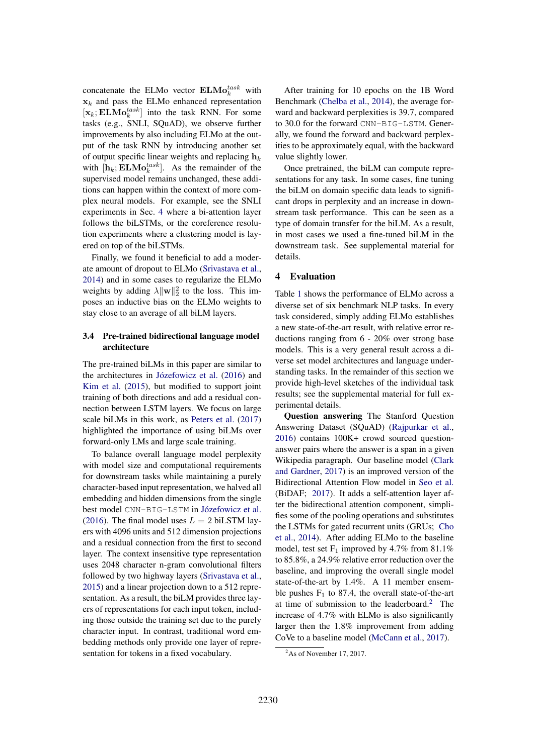concatenate the ELMo vector  $\mathbf{ELMo}_{k}^{task}$  with  $x_k$  and pass the ELMo enhanced representation  $[\mathbf{x}_k; \mathbf{ELMo}_k^{task}]$  into the task RNN. For some tasks (e.g., SNLI, SQuAD), we observe further improvements by also including ELMo at the output of the task RNN by introducing another set of output specific linear weights and replacing  $h_k$ with  $[\mathbf{h}_k; \mathbf{ELMo}_k^{task}]$ . As the remainder of the supervised model remains unchanged, these additions can happen within the context of more complex neural models. For example, see the SNLI experiments in Sec. 4 where a bi-attention layer follows the biLSTMs, or the coreference resolution experiments where a clustering model is layered on top of the biLSTMs.

Finally, we found it beneficial to add a moderate amount of dropout to ELMo (Srivastava et al., 2014) and in some cases to regularize the ELMo weights by adding  $\lambda ||\mathbf{w}||_2^2$  to the loss. This imposes an inductive bias on the ELMo weights to stay close to an average of all biLM layers.

## 3.4 Pre-trained bidirectional language model architecture

The pre-trained biLMs in this paper are similar to the architectures in Józefowicz et al. (2016) and Kim et al. (2015), but modified to support joint training of both directions and add a residual connection between LSTM layers. We focus on large scale biLMs in this work, as Peters et al. (2017) highlighted the importance of using biLMs over forward-only LMs and large scale training.

To balance overall language model perplexity with model size and computational requirements for downstream tasks while maintaining a purely character-based input representation, we halved all embedding and hidden dimensions from the single best model CNN-BIG-LSTM in Józefowicz et al. (2016). The final model uses  $L = 2$  biLSTM layers with 4096 units and 512 dimension projections and a residual connection from the first to second layer. The context insensitive type representation uses 2048 character n-gram convolutional filters followed by two highway layers (Srivastava et al., 2015) and a linear projection down to a 512 representation. As a result, the biLM provides three layers of representations for each input token, including those outside the training set due to the purely character input. In contrast, traditional word embedding methods only provide one layer of representation for tokens in a fixed vocabulary.

After training for 10 epochs on the 1B Word Benchmark (Chelba et al., 2014), the average forward and backward perplexities is 39.7, compared to 30.0 for the forward CNN-BIG-LSTM. Generally, we found the forward and backward perplexities to be approximately equal, with the backward value slightly lower.

Once pretrained, the biLM can compute representations for any task. In some cases, fine tuning the biLM on domain specific data leads to significant drops in perplexity and an increase in downstream task performance. This can be seen as a type of domain transfer for the biLM. As a result, in most cases we used a fine-tuned biLM in the downstream task. See supplemental material for details.

## 4 Evaluation

Table 1 shows the performance of ELMo across a diverse set of six benchmark NLP tasks. In every task considered, simply adding ELMo establishes a new state-of-the-art result, with relative error reductions ranging from 6 - 20% over strong base models. This is a very general result across a diverse set model architectures and language understanding tasks. In the remainder of this section we provide high-level sketches of the individual task results; see the supplemental material for full experimental details.

Question answering The Stanford Question Answering Dataset (SQuAD) (Rajpurkar et al., 2016) contains 100K+ crowd sourced questionanswer pairs where the answer is a span in a given Wikipedia paragraph. Our baseline model (Clark and Gardner, 2017) is an improved version of the Bidirectional Attention Flow model in Seo et al. (BiDAF; 2017). It adds a self-attention layer after the bidirectional attention component, simplifies some of the pooling operations and substitutes the LSTMs for gated recurrent units (GRUs; Cho et al., 2014). After adding ELMo to the baseline model, test set  $F_1$  improved by 4.7% from 81.1% to 85.8%, a 24.9% relative error reduction over the baseline, and improving the overall single model state-of-the-art by 1.4%. A 11 member ensemble pushes  $F_1$  to 87.4, the overall state-of-the-art at time of submission to the leaderboard. $2$  The increase of 4.7% with ELMo is also significantly larger then the 1.8% improvement from adding CoVe to a baseline model (McCann et al., 2017).

 $2$ As of November 17, 2017.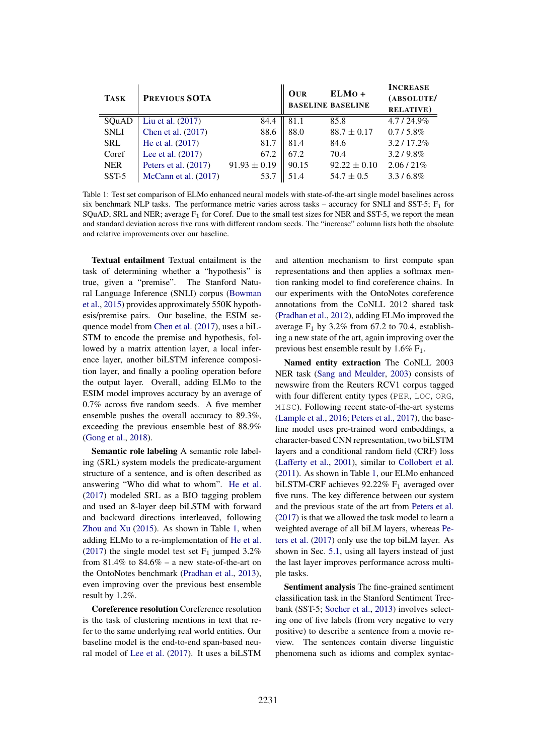| <b>TASK</b> | PREVIOUS SOTA          |                  | OUR   | ELMO +<br><b>BASELINE BASELINE</b> | <b>INCREASE</b><br>(ABSOLUTE/<br><b>RELATIVE</b> ) |
|-------------|------------------------|------------------|-------|------------------------------------|----------------------------------------------------|
| SQuAD       | Liu et al. $(2017)$    | 84.4             | 81.1  | 85.8                               | $4.7/24.9\%$                                       |
| <b>SNLI</b> | Chen et al. (2017)     | 88.6             | 88.0  | $88.7 \pm 0.17$                    | $0.7/5.8\%$                                        |
| <b>SRL</b>  | He et al. (2017)       | 81.7             | 81.4  | 84.6                               | $3.2/17.2\%$                                       |
| Coref       | Lee et al. (2017)      | 67.2             | 67.2  | 70.4                               | $3.2/9.8\%$                                        |
| <b>NER</b>  | Peters et al. (2017)   | $91.93 \pm 0.19$ | 90.15 | $92.22 \pm 0.10$                   | $2.06/21\%$                                        |
| $SST-5$     | McCann et al. $(2017)$ | 53.7             | 51.4  | $54.7 \pm 0.5$                     | $3.3/6.8\%$                                        |

Table 1: Test set comparison of ELMo enhanced neural models with state-of-the-art single model baselines across six benchmark NLP tasks. The performance metric varies across tasks – accuracy for SNLI and SST-5;  $F_1$  for SQuAD, SRL and NER; average  $F_1$  for Coref. Due to the small test sizes for NER and SST-5, we report the mean and standard deviation across five runs with different random seeds. The "increase" column lists both the absolute and relative improvements over our baseline.

Textual entailment Textual entailment is the task of determining whether a "hypothesis" is true, given a "premise". The Stanford Natural Language Inference (SNLI) corpus (Bowman et al., 2015) provides approximately 550K hypothesis/premise pairs. Our baseline, the ESIM sequence model from Chen et al. (2017), uses a biL-STM to encode the premise and hypothesis, followed by a matrix attention layer, a local inference layer, another biLSTM inference composition layer, and finally a pooling operation before the output layer. Overall, adding ELMo to the ESIM model improves accuracy by an average of 0.7% across five random seeds. A five member ensemble pushes the overall accuracy to 89.3%, exceeding the previous ensemble best of 88.9% (Gong et al., 2018).

Semantic role labeling A semantic role labeling (SRL) system models the predicate-argument structure of a sentence, and is often described as answering "Who did what to whom". He et al. (2017) modeled SRL as a BIO tagging problem and used an 8-layer deep biLSTM with forward and backward directions interleaved, following Zhou and Xu (2015). As shown in Table 1, when adding ELMo to a re-implementation of He et al. (2017) the single model test set  $F_1$  jumped 3.2% from  $81.4\%$  to  $84.6\%$  – a new state-of-the-art on the OntoNotes benchmark (Pradhan et al., 2013), even improving over the previous best ensemble result by 1.2%.

Coreference resolution Coreference resolution is the task of clustering mentions in text that refer to the same underlying real world entities. Our baseline model is the end-to-end span-based neural model of Lee et al. (2017). It uses a biLSTM

and attention mechanism to first compute span representations and then applies a softmax mention ranking model to find coreference chains. In our experiments with the OntoNotes coreference annotations from the CoNLL 2012 shared task (Pradhan et al., 2012), adding ELMo improved the average  $F_1$  by 3.2% from 67.2 to 70.4, establishing a new state of the art, again improving over the previous best ensemble result by  $1.6\%$  F<sub>1</sub>.

Named entity extraction The CoNLL 2003 NER task (Sang and Meulder, 2003) consists of newswire from the Reuters RCV1 corpus tagged with four different entity types (PER, LOC, ORG, MISC). Following recent state-of-the-art systems (Lample et al., 2016; Peters et al., 2017), the baseline model uses pre-trained word embeddings, a character-based CNN representation, two biLSTM layers and a conditional random field (CRF) loss (Lafferty et al., 2001), similar to Collobert et al. (2011). As shown in Table 1, our ELMo enhanced biLSTM-CRF achieves  $92.22\%$  F<sub>1</sub> averaged over five runs. The key difference between our system and the previous state of the art from Peters et al. (2017) is that we allowed the task model to learn a weighted average of all biLM layers, whereas Peters et al. (2017) only use the top biLM layer. As shown in Sec. 5.1, using all layers instead of just the last layer improves performance across multiple tasks.

Sentiment analysis The fine-grained sentiment classification task in the Stanford Sentiment Treebank (SST-5; Socher et al., 2013) involves selecting one of five labels (from very negative to very positive) to describe a sentence from a movie review. The sentences contain diverse linguistic phenomena such as idioms and complex syntac-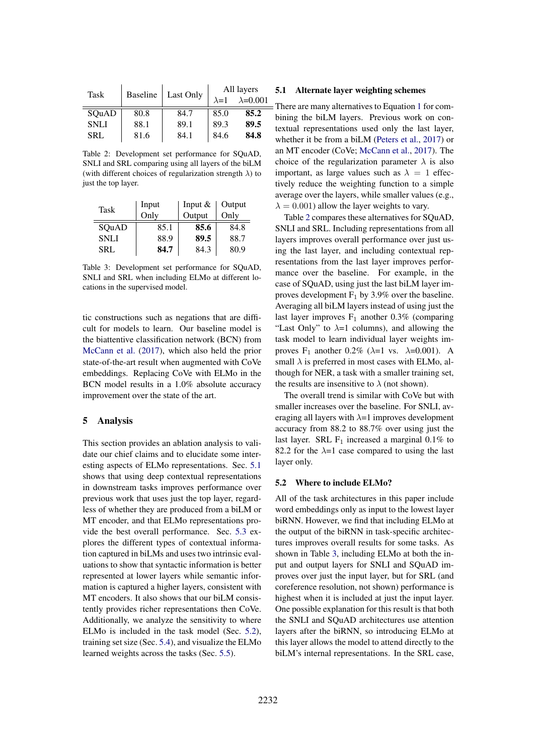| Task        | <b>Baseline</b> | Last Only | All layers    |                   |
|-------------|-----------------|-----------|---------------|-------------------|
|             |                 |           | $\lambda = 1$ | $\lambda = 0.001$ |
| SOuAD       | 80.8            | 84.7      | 85.0          | 85.2              |
| <b>SNLI</b> | 88.1            | 89.1      | 89.3          | 89.5              |
| SRL         | 81.6            | 84.1      | 84.6          | 84.8              |

Table 2: Development set performance for SQuAD, SNLI and SRL comparing using all layers of the biLM (with different choices of regularization strength  $\lambda$ ) to just the top layer.

| Task        | Input | Input $&$ | Output |
|-------------|-------|-----------|--------|
|             | Only  | Output    | Only   |
| SQuAD       | 85.1  | 85.6      | 84.8   |
| <b>SNLI</b> | 88.9  | 89.5      | 88.7   |
| <b>SRL</b>  | 84.7  | 84.3      | 80.9   |

Table 3: Development set performance for SQuAD, SNLI and SRL when including ELMo at different locations in the supervised model.

tic constructions such as negations that are difficult for models to learn. Our baseline model is the biattentive classification network (BCN) from McCann et al. (2017), which also held the prior state-of-the-art result when augmented with CoVe embeddings. Replacing CoVe with ELMo in the BCN model results in a 1.0% absolute accuracy improvement over the state of the art.

### 5 Analysis

This section provides an ablation analysis to validate our chief claims and to elucidate some interesting aspects of ELMo representations. Sec. 5.1 shows that using deep contextual representations in downstream tasks improves performance over previous work that uses just the top layer, regardless of whether they are produced from a biLM or MT encoder, and that ELMo representations provide the best overall performance. Sec. 5.3 explores the different types of contextual information captured in biLMs and uses two intrinsic evaluations to show that syntactic information is better represented at lower layers while semantic information is captured a higher layers, consistent with MT encoders. It also shows that our biLM consistently provides richer representations then CoVe. Additionally, we analyze the sensitivity to where ELMo is included in the task model (Sec. 5.2), training set size (Sec. 5.4), and visualize the ELMo learned weights across the tasks (Sec. 5.5).

### 5.1 Alternate layer weighting schemes

 $=$  There are many alternatives to Equation 1 for combining the biLM layers. Previous work on contextual representations used only the last layer, whether it be from a biLM (Peters et al., 2017) or an MT encoder (CoVe; McCann et al., 2017). The choice of the regularization parameter  $\lambda$  is also important, as large values such as  $\lambda = 1$  effectively reduce the weighting function to a simple average over the layers, while smaller values (e.g.,  $\lambda = 0.001$ ) allow the layer weights to vary.

Table 2 compares these alternatives for SQuAD, SNLI and SRL. Including representations from all layers improves overall performance over just using the last layer, and including contextual representations from the last layer improves performance over the baseline. For example, in the case of SQuAD, using just the last biLM layer improves development  $F_1$  by 3.9% over the baseline. Averaging all biLM layers instead of using just the last layer improves  $F_1$  another 0.3% (comparing "Last Only" to  $\lambda=1$  columns), and allowing the task model to learn individual layer weights improves F<sub>1</sub> another 0.2% ( $\lambda$ =1 vs.  $\lambda$ =0.001). A small  $\lambda$  is preferred in most cases with ELMo, although for NER, a task with a smaller training set, the results are insensitive to  $\lambda$  (not shown).

The overall trend is similar with CoVe but with smaller increases over the baseline. For SNLI, averaging all layers with  $\lambda=1$  improves development accuracy from 88.2 to 88.7% over using just the last layer. SRL  $F_1$  increased a marginal 0.1% to 82.2 for the  $\lambda=1$  case compared to using the last layer only.

#### 5.2 Where to include ELMo?

All of the task architectures in this paper include word embeddings only as input to the lowest layer biRNN. However, we find that including ELMo at the output of the biRNN in task-specific architectures improves overall results for some tasks. As shown in Table 3, including ELMo at both the input and output layers for SNLI and SQuAD improves over just the input layer, but for SRL (and coreference resolution, not shown) performance is highest when it is included at just the input layer. One possible explanation for this result is that both the SNLI and SQuAD architectures use attention layers after the biRNN, so introducing ELMo at this layer allows the model to attend directly to the biLM's internal representations. In the SRL case,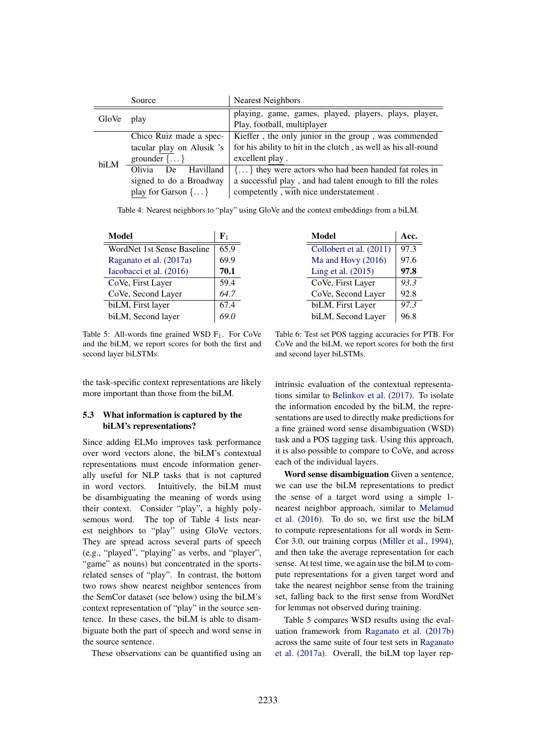|       | Source                        | <b>Nearest Neighbors</b>                                                             |  |  |
|-------|-------------------------------|--------------------------------------------------------------------------------------|--|--|
| GloVe | play                          | playing, game, games, played, players, plays, player,<br>Play, football, multiplayer |  |  |
| biLM  | Chico Ruiz made a spec-       | Kieffer, the only junior in the group, was commended                                 |  |  |
|       | tacular play on Alusik 's     | for his ability to hit in the clutch, as well as his all-round                       |  |  |
|       | grounder $\{ \dots \}$        | excellent play.                                                                      |  |  |
|       | Olivia<br>Havilland<br>De     | $\{ \dots \}$ they were actors who had been handed fat roles in                      |  |  |
|       | signed to do a Broadway       | a successful play, and had talent enough to fill the roles                           |  |  |
|       | play for Garson $\{ \dots \}$ | competently, with nice understatement.                                               |  |  |

Table 4: Nearest neighbors to "play" using GloVe and the context embeddings from a biLM.

| Model                      | ${\bf F}_1$ |
|----------------------------|-------------|
| WordNet 1st Sense Baseline | 65.9        |
| Raganato et al. (2017a)    | 69.9        |
| Iacobacci et al. (2016)    | 70.1        |
| CoVe, First Layer          | 59.4        |
| CoVe, Second Layer         | 64.7        |
| biLM, First layer          | 67.4        |
| biLM, Second layer         |             |

Model Acc. Collobert et al.  $(2011)$  97.3 Ma and Hovy (2016) 97.6 Ling et al.  $(2015)$  | 97.8 CoVe, First Layer *93.3* CoVe, Second Layer  $\vert$  92.8 biLM, First Layer *97.3* biLM, Second Layer |  $96.8$ 

Table 5: All-words fine grained WSD  $F_1$ . For CoVe and the biLM, we report scores for both the first and second layer biLSTMs.

the task-specific context representations are likely more important than those from the biLM.

## 5.3 What information is captured by the biLM's representations?

Since adding ELMo improves task performance over word vectors alone, the biLM's contextual representations must encode information generally useful for NLP tasks that is not captured in word vectors. Intuitively, the biLM must be disambiguating the meaning of words using their context. Consider "play", a highly polysemous word. The top of Table 4 lists nearest neighbors to "play" using GloVe vectors. They are spread across several parts of speech (e.g., "played", "playing" as verbs, and "player", "game" as nouns) but concentrated in the sportsrelated senses of "play". In contrast, the bottom two rows show nearest neighbor sentences from the SemCor dataset (see below) using the biLM's context representation of "play" in the source sentence. In these cases, the biLM is able to disambiguate both the part of speech and word sense in the source sentence.

These observations can be quantified using an

Table 6: Test set POS tagging accuracies for PTB. For CoVe and the biLM, we report scores for both the first and second layer biLSTMs.

intrinsic evaluation of the contextual representations similar to Belinkov et al. (2017). To isolate the information encoded by the biLM, the representations are used to directly make predictions for a fine grained word sense disambiguation (WSD) task and a POS tagging task. Using this approach, it is also possible to compare to CoVe, and across each of the individual layers.

Word sense disambiguation Given a sentence, we can use the biLM representations to predict the sense of a target word using a simple 1 nearest neighbor approach, similar to Melamud et al. (2016). To do so, we first use the biLM to compute representations for all words in Sem-Cor 3.0, our training corpus (Miller et al., 1994), and then take the average representation for each sense. At test time, we again use the biLM to compute representations for a given target word and take the nearest neighbor sense from the training set, falling back to the first sense from WordNet for lemmas not observed during training.

Table 5 compares WSD results using the evaluation framework from Raganato et al. (2017b) across the same suite of four test sets in Raganato et al. (2017a). Overall, the biLM top layer rep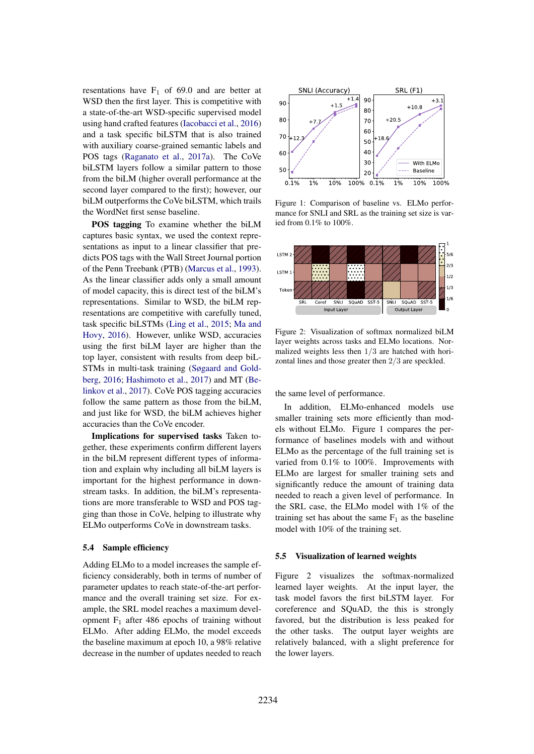resentations have  $F_1$  of 69.0 and are better at WSD then the first layer. This is competitive with a state-of-the-art WSD-specific supervised model using hand crafted features (Iacobacci et al., 2016) and a task specific biLSTM that is also trained with auxiliary coarse-grained semantic labels and POS tags (Raganato et al., 2017a). The CoVe biLSTM layers follow a similar pattern to those from the biLM (higher overall performance at the second layer compared to the first); however, our biLM outperforms the CoVe biLSTM, which trails the WordNet first sense baseline.

POS tagging To examine whether the biLM captures basic syntax, we used the context representations as input to a linear classifier that predicts POS tags with the Wall Street Journal portion of the Penn Treebank (PTB) (Marcus et al., 1993). As the linear classifier adds only a small amount of model capacity, this is direct test of the biLM's representations. Similar to WSD, the biLM representations are competitive with carefully tuned, task specific biLSTMs (Ling et al., 2015; Ma and Hovy, 2016). However, unlike WSD, accuracies using the first biLM layer are higher than the top layer, consistent with results from deep biL-STMs in multi-task training (Søgaard and Goldberg, 2016; Hashimoto et al., 2017) and MT (Belinkov et al., 2017). CoVe POS tagging accuracies follow the same pattern as those from the biLM, and just like for WSD, the biLM achieves higher accuracies than the CoVe encoder.

Implications for supervised tasks Taken together, these experiments confirm different layers in the biLM represent different types of information and explain why including all biLM layers is important for the highest performance in downstream tasks. In addition, the biLM's representations are more transferable to WSD and POS tagging than those in CoVe, helping to illustrate why ELMo outperforms CoVe in downstream tasks.

### 5.4 Sample efficiency

Adding ELMo to a model increases the sample efficiency considerably, both in terms of number of parameter updates to reach state-of-the-art performance and the overall training set size. For example, the SRL model reaches a maximum development  $F_1$  after 486 epochs of training without ELMo. After adding ELMo, the model exceeds the baseline maximum at epoch 10, a 98% relative decrease in the number of updates needed to reach



Figure 1: Comparison of baseline vs. ELMo performance for SNLI and SRL as the training set size is varied from 0.1% to 100%.



Figure 2: Visualization of softmax normalized biLM layer weights across tasks and ELMo locations. Normalized weights less then 1/3 are hatched with horizontal lines and those greater then 2/3 are speckled.

the same level of performance.

In addition, ELMo-enhanced models use smaller training sets more efficiently than models without ELMo. Figure 1 compares the performance of baselines models with and without ELMo as the percentage of the full training set is varied from 0.1% to 100%. Improvements with ELMo are largest for smaller training sets and significantly reduce the amount of training data needed to reach a given level of performance. In the SRL case, the ELMo model with 1% of the training set has about the same  $F_1$  as the baseline model with 10% of the training set.

#### 5.5 Visualization of learned weights

Figure 2 visualizes the softmax-normalized learned layer weights. At the input layer, the task model favors the first biLSTM layer. For coreference and SQuAD, the this is strongly favored, but the distribution is less peaked for the other tasks. The output layer weights are relatively balanced, with a slight preference for the lower layers.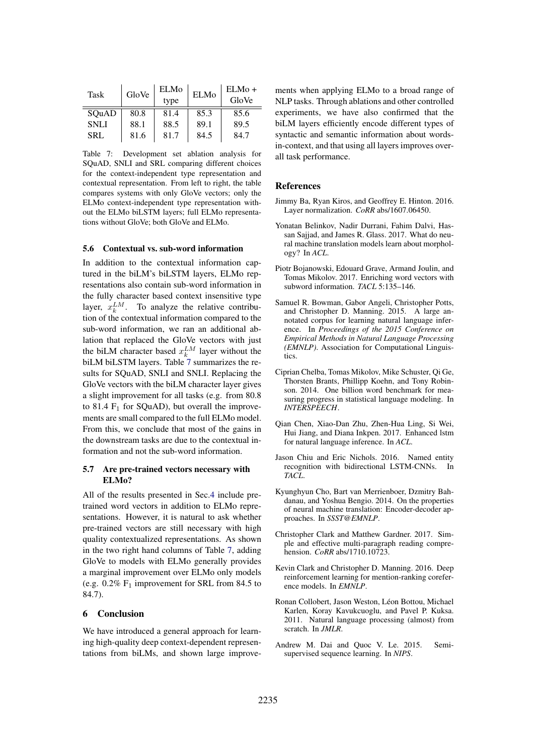| Task        | GloVe | <b>ELMo</b><br>type | <b>ELMo</b> | $ELMo+$<br>GloVe |
|-------------|-------|---------------------|-------------|------------------|
| SOuAD       | 80.8  | 81.4                | 85.3        | 85.6             |
| <b>SNLI</b> | 88.1  | 88.5                | 89.1        | 89.5             |
| <b>SRL</b>  | 81.6  | 81.7                | 84.5        | 84.7             |

Table 7: Development set ablation analysis for SQuAD, SNLI and SRL comparing different choices for the context-independent type representation and contextual representation. From left to right, the table compares systems with only GloVe vectors; only the ELMo context-independent type representation without the ELMo biLSTM layers; full ELMo representations without GloVe; both GloVe and ELMo.

#### 5.6 Contextual vs. sub-word information

In addition to the contextual information captured in the biLM's biLSTM layers, ELMo representations also contain sub-word information in the fully character based context insensitive type layer,  $x_k^{LM}$ . To analyze the relative contribution of the contextual information compared to the sub-word information, we ran an additional ablation that replaced the GloVe vectors with just the biLM character based  $x_k^{LM}$  layer without the biLM biLSTM layers. Table 7 summarizes the results for SQuAD, SNLI and SNLI. Replacing the GloVe vectors with the biLM character layer gives a slight improvement for all tasks (e.g. from 80.8 to 81.4  $F_1$  for SQuAD), but overall the improvements are small compared to the full ELMo model. From this, we conclude that most of the gains in the downstream tasks are due to the contextual information and not the sub-word information.

### 5.7 Are pre-trained vectors necessary with ELMo?

All of the results presented in Sec.4 include pretrained word vectors in addition to ELMo representations. However, it is natural to ask whether pre-trained vectors are still necessary with high quality contextualized representations. As shown in the two right hand columns of Table 7, adding GloVe to models with ELMo generally provides a marginal improvement over ELMo only models (e.g.  $0.2\%$  F<sub>1</sub> improvement for SRL from 84.5 to 84.7).

## 6 Conclusion

We have introduced a general approach for learning high-quality deep context-dependent representations from biLMs, and shown large improve-

ments when applying ELMo to a broad range of NLP tasks. Through ablations and other controlled experiments, we have also confirmed that the biLM layers efficiently encode different types of syntactic and semantic information about wordsin-context, and that using all layers improves overall task performance.

#### **References**

- Jimmy Ba, Ryan Kiros, and Geoffrey E. Hinton. 2016. Layer normalization. *CoRR* abs/1607.06450.
- Yonatan Belinkov, Nadir Durrani, Fahim Dalvi, Hassan Sajjad, and James R. Glass. 2017. What do neural machine translation models learn about morphology? In *ACL*.
- Piotr Bojanowski, Edouard Grave, Armand Joulin, and Tomas Mikolov. 2017. Enriching word vectors with subword information. *TACL* 5:135–146.
- Samuel R. Bowman, Gabor Angeli, Christopher Potts, and Christopher D. Manning. 2015. A large annotated corpus for learning natural language inference. In *Proceedings of the 2015 Conference on Empirical Methods in Natural Language Processing (EMNLP)*. Association for Computational Linguistics.
- Ciprian Chelba, Tomas Mikolov, Mike Schuster, Qi Ge, Thorsten Brants, Phillipp Koehn, and Tony Robinson. 2014. One billion word benchmark for measuring progress in statistical language modeling. In *INTERSPEECH*.
- Qian Chen, Xiao-Dan Zhu, Zhen-Hua Ling, Si Wei, Hui Jiang, and Diana Inkpen. 2017. Enhanced lstm for natural language inference. In *ACL*.
- Jason Chiu and Eric Nichols. 2016. Named entity recognition with bidirectional LSTM-CNNs. In *TACL*.
- Kyunghyun Cho, Bart van Merrienboer, Dzmitry Bahdanau, and Yoshua Bengio. 2014. On the properties of neural machine translation: Encoder-decoder approaches. In *SSST@EMNLP*.
- Christopher Clark and Matthew Gardner. 2017. Simple and effective multi-paragraph reading comprehension. *CoRR* abs/1710.10723.
- Kevin Clark and Christopher D. Manning. 2016. Deep reinforcement learning for mention-ranking coreference models. In *EMNLP*.
- Ronan Collobert, Jason Weston, Léon Bottou, Michael Karlen, Koray Kavukcuoglu, and Pavel P. Kuksa. 2011. Natural language processing (almost) from scratch. In *JMLR*.
- Andrew M. Dai and Quoc V. Le. 2015. Semisupervised sequence learning. In *NIPS*.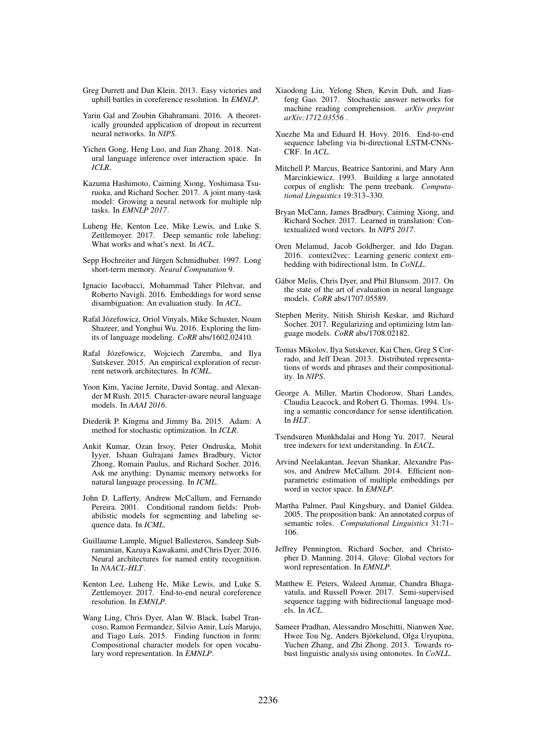- Greg Durrett and Dan Klein. 2013. Easy victories and uphill battles in coreference resolution. In *EMNLP*.
- Yarin Gal and Zoubin Ghahramani. 2016. A theoretically grounded application of dropout in recurrent neural networks. In *NIPS*.
- Yichen Gong, Heng Luo, and Jian Zhang. 2018. Natural language inference over interaction space. In *ICLR*.
- Kazuma Hashimoto, Caiming Xiong, Yoshimasa Tsuruoka, and Richard Socher. 2017. A joint many-task model: Growing a neural network for multiple nlp tasks. In *EMNLP 2017*.
- Luheng He, Kenton Lee, Mike Lewis, and Luke S. Zettlemoyer. 2017. Deep semantic role labeling: What works and what's next. In *ACL*.
- Sepp Hochreiter and Jürgen Schmidhuber. 1997. Long short-term memory. *Neural Computation* 9.
- Ignacio Iacobacci, Mohammad Taher Pilehvar, and Roberto Navigli. 2016. Embeddings for word sense disambiguation: An evaluation study. In *ACL*.
- Rafal Józefowicz, Oriol Vinyals, Mike Schuster, Noam Shazeer, and Yonghui Wu. 2016. Exploring the limits of language modeling. *CoRR* abs/1602.02410.
- Rafal Józefowicz, Wojciech Zaremba, and Ilya Sutskever. 2015. An empirical exploration of recurrent network architectures. In *ICML*.
- Yoon Kim, Yacine Jernite, David Sontag, and Alexander M Rush. 2015. Character-aware neural language models. In *AAAI 2016*.
- Diederik P. Kingma and Jimmy Ba. 2015. Adam: A method for stochastic optimization. In *ICLR*.
- Ankit Kumar, Ozan Irsoy, Peter Ondruska, Mohit Iyyer, Ishaan Gulrajani James Bradbury, Victor Zhong, Romain Paulus, and Richard Socher. 2016. Ask me anything: Dynamic memory networks for natural language processing. In *ICML*.
- John D. Lafferty, Andrew McCallum, and Fernando Pereira. 2001. Conditional random fields: Probabilistic models for segmenting and labeling sequence data. In *ICML*.
- Guillaume Lample, Miguel Ballesteros, Sandeep Subramanian, Kazuya Kawakami, and Chris Dyer. 2016. Neural architectures for named entity recognition. In *NAACL-HLT*.
- Kenton Lee, Luheng He, Mike Lewis, and Luke S. Zettlemoyer. 2017. End-to-end neural coreference resolution. In *EMNLP*.
- Wang Ling, Chris Dyer, Alan W. Black, Isabel Trancoso, Ramon Fermandez, Silvio Amir, Luís Marujo, and Tiago Luís. 2015. Finding function in form: Compositional character models for open vocabulary word representation. In *EMNLP*.
- Xiaodong Liu, Yelong Shen, Kevin Duh, and Jianfeng Gao. 2017. Stochastic answer networks for machine reading comprehension. *arXiv preprint arXiv:1712.03556* .
- Xuezhe Ma and Eduard H. Hovy. 2016. End-to-end sequence labeling via bi-directional LSTM-CNNs-CRF. In *ACL*.
- Mitchell P. Marcus, Beatrice Santorini, and Mary Ann Marcinkiewicz. 1993. Building a large annotated corpus of english: The penn treebank. *Computational Linguistics* 19:313–330.
- Bryan McCann, James Bradbury, Caiming Xiong, and Richard Socher. 2017. Learned in translation: Contextualized word vectors. In *NIPS 2017*.
- Oren Melamud, Jacob Goldberger, and Ido Dagan. 2016. context2vec: Learning generic context embedding with bidirectional lstm. In *CoNLL*.
- Gabor Melis, Chris Dyer, and Phil Blunsom. 2017. On ´ the state of the art of evaluation in neural language models. *CoRR* abs/1707.05589.
- Stephen Merity, Nitish Shirish Keskar, and Richard Socher. 2017. Regularizing and optimizing lstm language models. *CoRR* abs/1708.02182.
- Tomas Mikolov, Ilya Sutskever, Kai Chen, Greg S Corrado, and Jeff Dean. 2013. Distributed representations of words and phrases and their compositionality. In *NIPS*.
- George A. Miller, Martin Chodorow, Shari Landes, Claudia Leacock, and Robert G. Thomas. 1994. Using a semantic concordance for sense identification. In *HLT*.
- Tsendsuren Munkhdalai and Hong Yu. 2017. Neural tree indexers for text understanding. In *EACL*.
- Arvind Neelakantan, Jeevan Shankar, Alexandre Passos, and Andrew McCallum. 2014. Efficient nonparametric estimation of multiple embeddings per word in vector space. In *EMNLP*.
- Martha Palmer, Paul Kingsbury, and Daniel Gildea. 2005. The proposition bank: An annotated corpus of semantic roles. *Computational Linguistics* 31:71– 106.
- Jeffrey Pennington, Richard Socher, and Christopher D. Manning. 2014. Glove: Global vectors for word representation. In *EMNLP*.
- Matthew E. Peters, Waleed Ammar, Chandra Bhagavatula, and Russell Power. 2017. Semi-supervised sequence tagging with bidirectional language models. In *ACL*.
- Sameer Pradhan, Alessandro Moschitti, Nianwen Xue, Hwee Tou Ng, Anders Björkelund, Olga Uryupina, Yuchen Zhang, and Zhi Zhong. 2013. Towards robust linguistic analysis using ontonotes. In *CoNLL*.